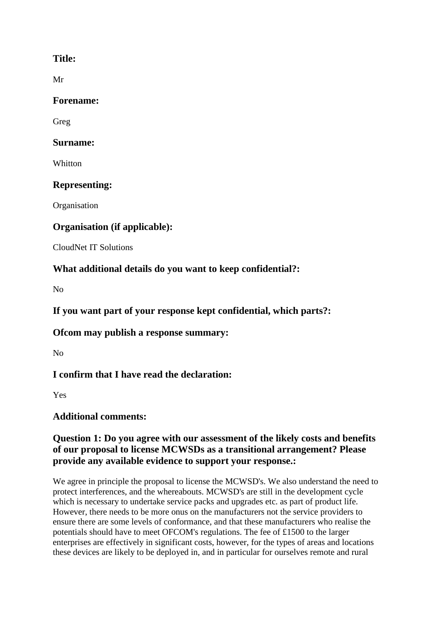## **Title:**

Mr

#### **Forename:**

Greg

#### **Surname:**

**Whitton** 

# **Representing:**

**Organisation** 

# **Organisation (if applicable):**

CloudNet IT Solutions

# **What additional details do you want to keep confidential?:**

No

**If you want part of your response kept confidential, which parts?:**

## **Ofcom may publish a response summary:**

No

# **I confirm that I have read the declaration:**

Yes

# **Additional comments:**

### **Question 1: Do you agree with our assessment of the likely costs and benefits of our proposal to license MCWSDs as a transitional arrangement? Please provide any available evidence to support your response.:**

We agree in principle the proposal to license the MCWSD's. We also understand the need to protect interferences, and the whereabouts. MCWSD's are still in the development cycle which is necessary to undertake service packs and upgrades etc. as part of product life. However, there needs to be more onus on the manufacturers not the service providers to ensure there are some levels of conformance, and that these manufacturers who realise the potentials should have to meet OFCOM's regulations. The fee of £1500 to the larger enterprises are effectively in significant costs, however, for the types of areas and locations these devices are likely to be deployed in, and in particular for ourselves remote and rural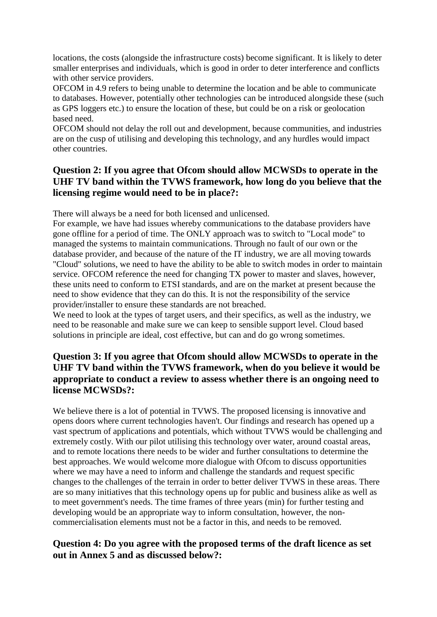locations, the costs (alongside the infrastructure costs) become significant. It is likely to deter smaller enterprises and individuals, which is good in order to deter interference and conflicts with other service providers.

OFCOM in 4.9 refers to being unable to determine the location and be able to communicate to databases. However, potentially other technologies can be introduced alongside these (such as GPS loggers etc.) to ensure the location of these, but could be on a risk or geolocation based need.

OFCOM should not delay the roll out and development, because communities, and industries are on the cusp of utilising and developing this technology, and any hurdles would impact other countries.

#### **Question 2: If you agree that Ofcom should allow MCWSDs to operate in the UHF TV band within the TVWS framework, how long do you believe that the licensing regime would need to be in place?:**

There will always be a need for both licensed and unlicensed.

For example, we have had issues whereby communications to the database providers have gone offline for a period of time. The ONLY approach was to switch to "Local mode" to managed the systems to maintain communications. Through no fault of our own or the database provider, and because of the nature of the IT industry, we are all moving towards "Cloud" solutions, we need to have the ability to be able to switch modes in order to maintain service. OFCOM reference the need for changing TX power to master and slaves, however, these units need to conform to ETSI standards, and are on the market at present because the need to show evidence that they can do this. It is not the responsibility of the service provider/installer to ensure these standards are not breached.

We need to look at the types of target users, and their specifics, as well as the industry, we need to be reasonable and make sure we can keep to sensible support level. Cloud based solutions in principle are ideal, cost effective, but can and do go wrong sometimes.

### **Question 3: If you agree that Ofcom should allow MCWSDs to operate in the UHF TV band within the TVWS framework, when do you believe it would be appropriate to conduct a review to assess whether there is an ongoing need to license MCWSDs?:**

We believe there is a lot of potential in TVWS. The proposed licensing is innovative and opens doors where current technologies haven't. Our findings and research has opened up a vast spectrum of applications and potentials, which without TVWS would be challenging and extremely costly. With our pilot utilising this technology over water, around coastal areas, and to remote locations there needs to be wider and further consultations to determine the best approaches. We would welcome more dialogue with Ofcom to discuss opportunities where we may have a need to inform and challenge the standards and request specific changes to the challenges of the terrain in order to better deliver TVWS in these areas. There are so many initiatives that this technology opens up for public and business alike as well as to meet government's needs. The time frames of three years (min) for further testing and developing would be an appropriate way to inform consultation, however, the noncommercialisation elements must not be a factor in this, and needs to be removed.

#### **Question 4: Do you agree with the proposed terms of the draft licence as set out in Annex 5 and as discussed below?:**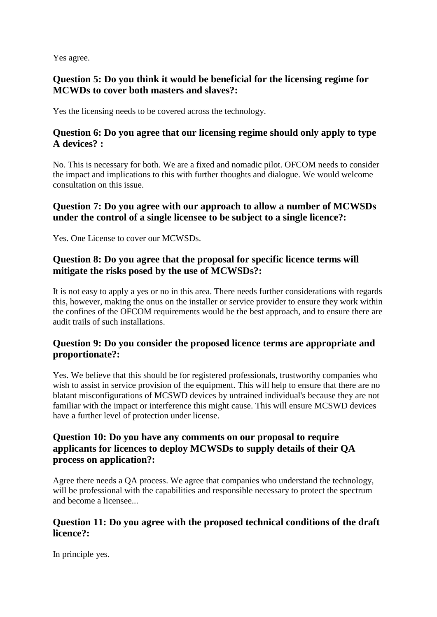Yes agree.

### **Question 5: Do you think it would be beneficial for the licensing regime for MCWDs to cover both masters and slaves?:**

Yes the licensing needs to be covered across the technology.

### **Question 6: Do you agree that our licensing regime should only apply to type A devices? :**

No. This is necessary for both. We are a fixed and nomadic pilot. OFCOM needs to consider the impact and implications to this with further thoughts and dialogue. We would welcome consultation on this issue.

### **Question 7: Do you agree with our approach to allow a number of MCWSDs under the control of a single licensee to be subject to a single licence?:**

Yes. One License to cover our MCWSDs.

### **Question 8: Do you agree that the proposal for specific licence terms will mitigate the risks posed by the use of MCWSDs?:**

It is not easy to apply a yes or no in this area. There needs further considerations with regards this, however, making the onus on the installer or service provider to ensure they work within the confines of the OFCOM requirements would be the best approach, and to ensure there are audit trails of such installations.

#### **Question 9: Do you consider the proposed licence terms are appropriate and proportionate?:**

Yes. We believe that this should be for registered professionals, trustworthy companies who wish to assist in service provision of the equipment. This will help to ensure that there are no blatant misconfigurations of MCSWD devices by untrained individual's because they are not familiar with the impact or interference this might cause. This will ensure MCSWD devices have a further level of protection under license.

## **Question 10: Do you have any comments on our proposal to require applicants for licences to deploy MCWSDs to supply details of their QA process on application?:**

Agree there needs a QA process. We agree that companies who understand the technology, will be professional with the capabilities and responsible necessary to protect the spectrum and become a licensee...

#### **Question 11: Do you agree with the proposed technical conditions of the draft licence?:**

In principle yes.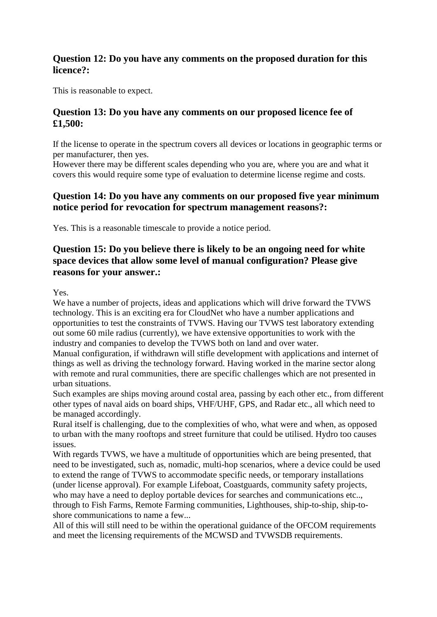#### **Question 12: Do you have any comments on the proposed duration for this licence?:**

This is reasonable to expect.

#### **Question 13: Do you have any comments on our proposed licence fee of £1,500:**

If the license to operate in the spectrum covers all devices or locations in geographic terms or per manufacturer, then yes.

However there may be different scales depending who you are, where you are and what it covers this would require some type of evaluation to determine license regime and costs.

#### **Question 14: Do you have any comments on our proposed five year minimum notice period for revocation for spectrum management reasons?:**

Yes. This is a reasonable timescale to provide a notice period.

#### **Question 15: Do you believe there is likely to be an ongoing need for white space devices that allow some level of manual configuration? Please give reasons for your answer.:**

Yes.

We have a number of projects, ideas and applications which will drive forward the TVWS technology. This is an exciting era for CloudNet who have a number applications and opportunities to test the constraints of TVWS. Having our TVWS test laboratory extending out some 60 mile radius (currently), we have extensive opportunities to work with the industry and companies to develop the TVWS both on land and over water.

Manual configuration, if withdrawn will stifle development with applications and internet of things as well as driving the technology forward. Having worked in the marine sector along with remote and rural communities, there are specific challenges which are not presented in urban situations.

Such examples are ships moving around costal area, passing by each other etc., from different other types of naval aids on board ships, VHF/UHF, GPS, and Radar etc., all which need to be managed accordingly.

Rural itself is challenging, due to the complexities of who, what were and when, as opposed to urban with the many rooftops and street furniture that could be utilised. Hydro too causes issues.

With regards TVWS, we have a multitude of opportunities which are being presented, that need to be investigated, such as, nomadic, multi-hop scenarios, where a device could be used to extend the range of TVWS to accommodate specific needs, or temporary installations (under license approval). For example Lifeboat, Coastguards, community safety projects, who may have a need to deploy portable devices for searches and communications etc.., through to Fish Farms, Remote Farming communities, Lighthouses, ship-to-ship, ship-toshore communications to name a few...

All of this will still need to be within the operational guidance of the OFCOM requirements and meet the licensing requirements of the MCWSD and TVWSDB requirements.